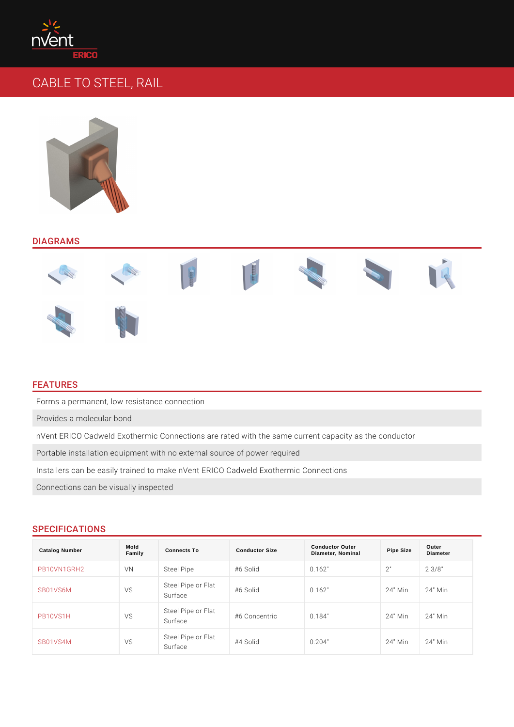# CABLE TO STEEL, RAIL

### DIAGRAMS

### FEATURES

Forms a permanent, low resistance connection

Provides a molecular bond

nVent ERICO Cadweld Exothermic Connections are rated with the same current o Portable installation equipment with no external source of power required Installers can be easily trained to make nVent ERICO Cadweld Exothermic Conn Connections can be visually inspected

### SPECIFICATIONS

| Catalog Number | Mold<br>Family | Connects To              | Conductor Size                             | <b>Conductor Outer</b><br>Diameter, Nominal | Pipe Size   | Outer<br>Diameter |
|----------------|----------------|--------------------------|--------------------------------------------|---------------------------------------------|-------------|-------------------|
| PB10VN1GRH2    | V N            | Steel Pipe               | $#6$ Solid                                 | 0.162"                                      | 2"          | $2 \t3/8$ "       |
| SB01VS6M       | V S            | Steel Pipe or<br>Surface | Flat<br>#6 Solid                           | 0.162"                                      |             | 24" Min 24" Min   |
| PB10VS1H       | V S            | Surface                  | Steel Pipe of Flat<br>#6 Concentric 0.184" |                                             | 24" Min 24" | Min               |
| $S$ B01VS4M    | V S            | Steel Pipe or<br>Surface | Flat<br>#4 Solid                           | 0.204"                                      | 24" Min 24" | Min               |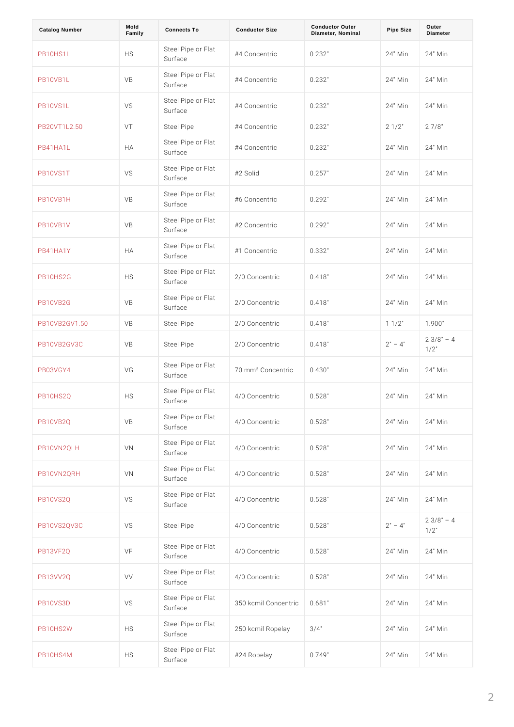| <b>Catalog Number</b> | Mold<br>Family | Connects To              | <b>Conductor Size</b>                                                                                                                                                                                                                                                                                     | <b>Conductor Outer</b><br>Diameter, Nominal | Pipe Size   | Outer<br>Diameter          |
|-----------------------|----------------|--------------------------|-----------------------------------------------------------------------------------------------------------------------------------------------------------------------------------------------------------------------------------------------------------------------------------------------------------|---------------------------------------------|-------------|----------------------------|
| PB10HS1L              | H <sub>S</sub> | Steel Pipe or<br>Surface | $F   a t$<br>#4 Concentric 0.232"                                                                                                                                                                                                                                                                         |                                             |             | 24" Min 24" Min            |
| PB10VB1L              | V <sub>B</sub> | Steel Pipe or<br>Surface | Flat<br>#4 Concentric 0.232"                                                                                                                                                                                                                                                                              |                                             |             | 24" Min 24" Min            |
| <b>PB10VS1L</b>       | V S            | Steel Pipe or<br>Surface | $\begin{array}{c c c c c c} \nF \mid a & t & c \\ \n\hline\n\end{array}$                                                                                                                                                                                                                                  |                                             |             | 24" Min 24" Min            |
| PB20VT1L2.50          | VT             | Steel Pipe               | #4 Concentric 0.232"                                                                                                                                                                                                                                                                                      |                                             | $2 \t1/2$ " | $2 \t7/8$ "                |
| <b>PB41HA1L</b>       | H A            | Steel Pipe or<br>Surface | $\begin{array}{c c c c c} \mathsf{F} \mathsf{l} \mathsf{a} \ \mathsf{t} \\ \mathsf{\#} \ \mathsf{4} & \mathsf{C} \ \mathsf{on} \ \mathsf{c} \ \mathsf{e} \ \mathsf{n} \ \mathsf{t} \ \mathsf{r} \ \mathsf{i} \ \mathsf{c} & \mathsf{0} \ \mathsf{.2} \ \mathsf{3} \ \mathsf{2} \ \mathsf{''} \end{array}$ |                                             |             | 24" Min 24" Min            |
| <b>PB10VS1T</b>       | V S            | Steel Pipe or<br>Surface | Flat<br>#2 Solid                                                                                                                                                                                                                                                                                          | 0.257"                                      |             | 24" Min 24" Min            |
| <b>PB10VB1H</b>       | V <sub>B</sub> | Steel Pipe or<br>Surface | Flat<br>#6 Concentric 0.292"                                                                                                                                                                                                                                                                              |                                             |             | 24" Min 24" Min            |
| <b>PB10VB1V</b>       | V <sub>B</sub> | Steel Pipe or<br>Surface | Flat<br>#2 Concentric 0.292"                                                                                                                                                                                                                                                                              |                                             |             | 24" Min 24" Min            |
| P B 4 1 H A 1 Y       | H A            | Steel Pipe or<br>Surface | Flat<br>#1 Concentric 0.332"                                                                                                                                                                                                                                                                              |                                             |             | 24" Min 24" Min            |
| <b>PB10HS2G</b>       | H <sub>S</sub> | Steel Pipe or<br>Surface | Flat<br>2/0 Concentric 0.418"                                                                                                                                                                                                                                                                             |                                             |             | 24" Min 24" Min            |
| <b>PB10VB2G</b>       | V <sub>B</sub> | Steel Pipe or<br>Surface |                                                                                                                                                                                                                                                                                                           |                                             |             | 24" Min 24" Min            |
| PB10VB2GV1.50         | V <sub>B</sub> | Steel Pipe               | 2/0 Concentric 0.418"                                                                                                                                                                                                                                                                                     |                                             | $1 \t1/2$ " | 1.900"                     |
| PB10VB2GV3C           | V B            | Steel Pipe               | 2/0 Concentric 0.418"                                                                                                                                                                                                                                                                                     |                                             | 4"<br>2"    | $2 \t3/8"$<br>$1/2$ "      |
| <b>PB03VGY4</b>       | V G            | Steel Pipe or<br>Surface | Flat<br>70 mm <sup>2</sup> Concentri4c30"                                                                                                                                                                                                                                                                 |                                             | 24"         | Min 24" Min                |
| <b>PB10HS2Q</b>       | H <sub>S</sub> | Surface                  | Steel Pipe of $\frac{F}{4}$ /0 Concentric 0.528"                                                                                                                                                                                                                                                          |                                             |             | 24" Min 24" Min            |
| <b>PB10VB2Q</b>       | V <sub>B</sub> | Surface                  | Steel Pipe of $\frac{F}{4}$ Concentric 0.528"                                                                                                                                                                                                                                                             |                                             |             | 24" Min 24" Min            |
| PB10VN2QLH            | V <sub>N</sub> | Surface                  | Steel Pipe of Flat Concentric 0.528"                                                                                                                                                                                                                                                                      |                                             |             | 24" Min 24" Min            |
| PB10VN2QRH            | V <sub>N</sub> | Surface                  | Steel Pipe of $F _{4}/0$ Concentric 0.528"                                                                                                                                                                                                                                                                |                                             |             | 24" Min 24" Min            |
| <b>PB10VS2Q</b>       | V S            | Surface                  | Steel Pipe of Flat<br>4/0 Concentric 0.528"                                                                                                                                                                                                                                                               |                                             |             | 24" Min 24" Min            |
| <b>PB10VS2QV3C</b>    | V S            | Steel Pipe               | 4/0 Concentric 0.528"                                                                                                                                                                                                                                                                                     |                                             | 4"<br>2"    | $2 \t3/8"$<br>4<br>$1/2$ " |
| <b>PB13VF2Q</b>       | VF             | Surface                  | Steel Pipe or Flat<br>4/0 Concentric 0.528"                                                                                                                                                                                                                                                               |                                             |             | 24" Min 24" Min            |
| <b>PB13VV2Q</b>       | V V            | Surface                  | Steel Pipe of Flat<br>4/0 Concentric 0.528"                                                                                                                                                                                                                                                               |                                             |             | 24" Min 24" Min            |
| <b>PB10VS3D</b>       | V S            | Surface                  | Steel Pipe or Flat<br>350 kcmil Concent 8ilc"                                                                                                                                                                                                                                                             |                                             |             | 24" Min 24" Min            |
| <b>PB10HS2W</b>       | H S            |                          | Steel Pipe of Flat<br>250 kcmil Rope 3d #"                                                                                                                                                                                                                                                                |                                             |             | 24" Min 24" Min            |
| <b>PB10HS4M</b>       | H S            | Surface                  | Steel Pipe of Flat Ropelay                                                                                                                                                                                                                                                                                | 0.749"                                      |             | 24" Min 24" Min            |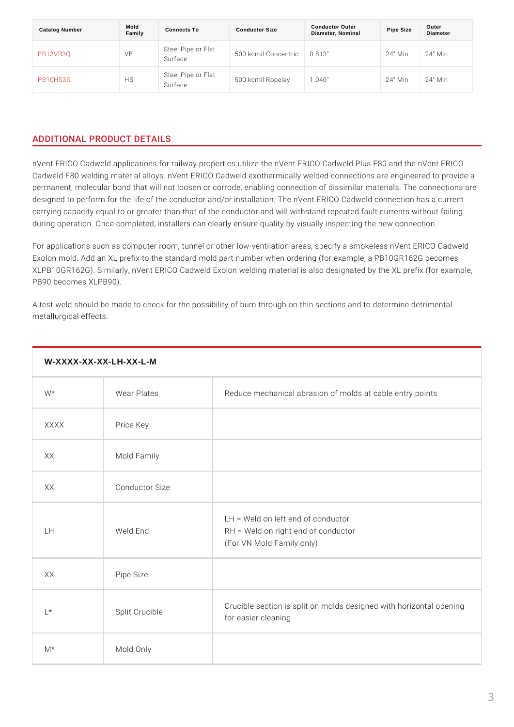| Catalog Number  | Mold<br>Family | Connects To | <b>Conductor Size</b>                              | <b>Conductor Outer</b><br>Diameter, Nominal | Pipe Size | Outer<br>Diameter |
|-----------------|----------------|-------------|----------------------------------------------------|---------------------------------------------|-----------|-------------------|
| <b>PB13VB3Q</b> | V <sub>B</sub> | Surface     | Steel Pipe of Flat<br>500 kcmil Concentii3c"       |                                             |           | 24" Min 24" Min   |
| <b>PB10HS3S</b> | H <sub>S</sub> |             | Steel Pipe of Flat<br>Surface 500 kcmil Ropela940" |                                             |           | 24" Mih 24" Min   |

## ADDITIONAL PRODUCT DETAILS

nVent ERICO Cadweld applications for railway properties utilize the nVent ERICO Cadweld F80 welding material alloys. nVent ERICO Cadweld exothermically welde permanent, molecular bond that will not loosen or corrode, enabling connection designed to perform for the life of the conductor and/or installation. The nVent carrying capacity equal to or greater than that of the conductor and will withsta during operation. Once completed, installers can clearly ensure quality by visua

For applications such as computer room, tunnel or other low-ventilation areas, s Exolon mold. Add an XL prefix to the standard mold part number when ordering ( XLPB10GR162G). Similarly, nVent ERICO Cadweld Exolon welding material is als PB90 becomes XLPB90).

A test weld should be made to check for the possibility of burn through on thin s metallurgical effects.

| W-XXXX-XX-XX-LH-XX-L-M |                |                                                                                                            |  |
|------------------------|----------------|------------------------------------------------------------------------------------------------------------|--|
| $W^*$                  | Wear Plates    | Reduce mechanical abrasion of molds at cable e                                                             |  |
| <b>XXXX</b>            | Price Key      |                                                                                                            |  |
| X X                    | Mold Family    |                                                                                                            |  |
| X X                    | Conductor Size |                                                                                                            |  |
| LH.                    | Weld End       | $LH = Weld$ on left end of conductor<br>$RH = Weld$ on right end of conductor<br>(For VN Mold Family only) |  |
| X X                    | Pipe Size      |                                                                                                            |  |
| $L^*$                  | Split Crucible | Crucible section is split on molds designed with<br>for easier cleaning                                    |  |
| $M^*$                  | Mold Only      |                                                                                                            |  |